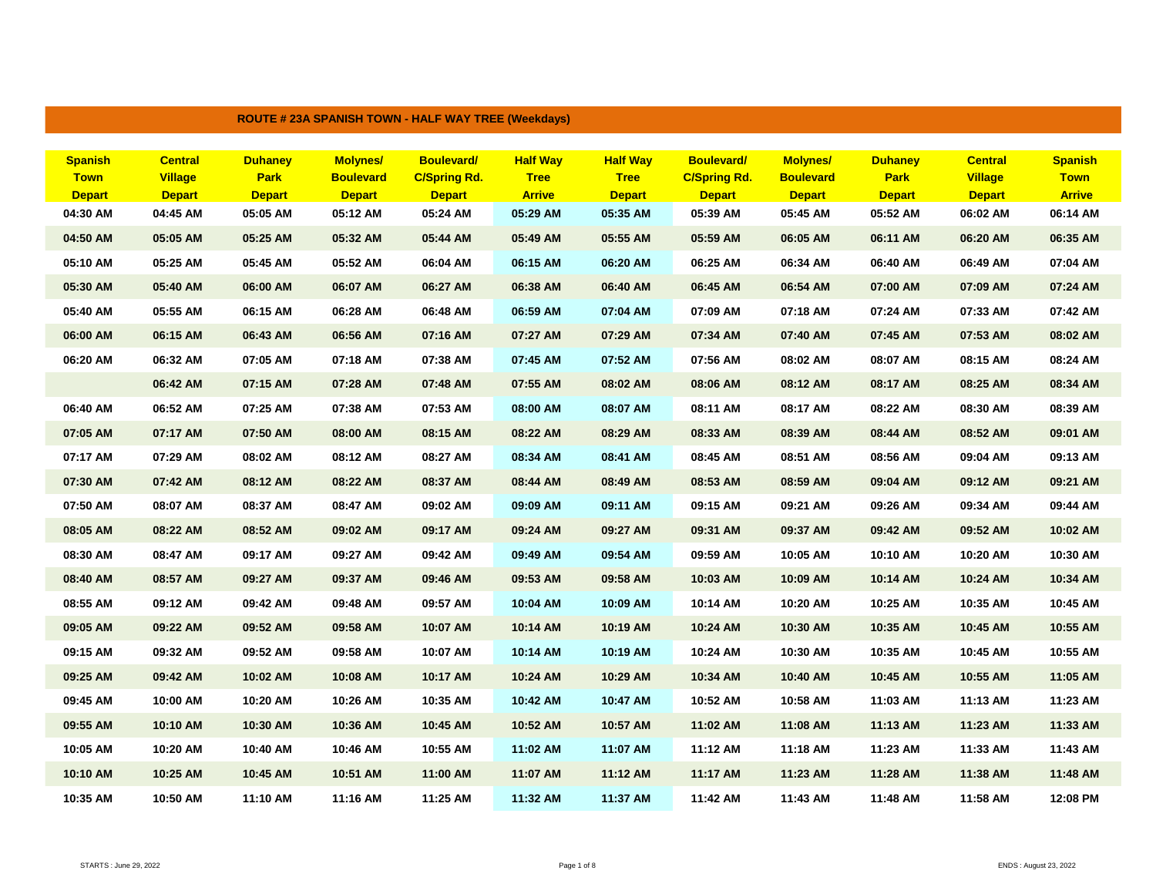| <b>ROUTE # 23A SPANISH TOWN - HALF WAY TREE (Weekdays)</b> |                                 |                              |                                   |                                      |                              |                              |                                      |                                   |                              |                                 |                              |
|------------------------------------------------------------|---------------------------------|------------------------------|-----------------------------------|--------------------------------------|------------------------------|------------------------------|--------------------------------------|-----------------------------------|------------------------------|---------------------------------|------------------------------|
|                                                            |                                 |                              |                                   |                                      |                              |                              |                                      |                                   |                              |                                 |                              |
| <b>Spanish</b>                                             | <b>Central</b>                  | <b>Duhaney</b>               | <b>Molynes/</b>                   | <b>Boulevard/</b>                    | <b>Half Way</b>              | <b>Half Way</b>              | <b>Boulevard/</b>                    | <b>Molynes/</b>                   | <b>Duhaney</b>               | <b>Central</b>                  | <b>Spanish</b>               |
| <b>Town</b><br><b>Depart</b>                               | <b>Village</b><br><b>Depart</b> | <b>Park</b><br><b>Depart</b> | <b>Boulevard</b><br><b>Depart</b> | <b>C/Spring Rd.</b><br><b>Depart</b> | <b>Tree</b><br><b>Arrive</b> | <b>Tree</b><br><b>Depart</b> | <b>C/Spring Rd.</b><br><b>Depart</b> | <b>Boulevard</b><br><b>Depart</b> | <b>Park</b><br><b>Depart</b> | <b>Village</b><br><b>Depart</b> | <b>Town</b><br><b>Arrive</b> |
| 04:30 AM                                                   | 04:45 AM                        | 05:05 AM                     | 05:12 AM                          | 05:24 AM                             | 05:29 AM                     | 05:35 AM                     | 05:39 AM                             | 05:45 AM                          | 05:52 AM                     | 06:02 AM                        | 06:14 AM                     |
| 04:50 AM                                                   | 05:05 AM                        |                              |                                   | 05:44 AM                             | 05:49 AM                     | 05:55 AM                     | 05:59 AM                             | 06:05 AM                          | 06:11 AM                     |                                 | 06:35 AM                     |
|                                                            |                                 | 05:25 AM                     | 05:32 AM                          |                                      |                              |                              |                                      |                                   |                              | 06:20 AM                        |                              |
| 05:10 AM                                                   | 05:25 AM                        | 05:45 AM                     | 05:52 AM                          | 06:04 AM                             | 06:15 AM                     | 06:20 AM                     | 06:25 AM                             | 06:34 AM                          | 06:40 AM                     | 06:49 AM                        | 07:04 AM                     |
| 05:30 AM                                                   | 05:40 AM                        | 06:00 AM                     | 06:07 AM                          | 06:27 AM                             | 06:38 AM                     | 06:40 AM                     | 06:45 AM                             | 06:54 AM                          | 07:00 AM                     | 07:09 AM                        | 07:24 AM                     |
| 05:40 AM                                                   | 05:55 AM                        | 06:15 AM                     | 06:28 AM                          | 06:48 AM                             | 06:59 AM                     | 07:04 AM                     | 07:09 AM                             | 07:18 AM                          | 07:24 AM                     | 07:33 AM                        | 07:42 AM                     |
| 06:00 AM                                                   | 06:15 AM                        | 06:43 AM                     | 06:56 AM                          | 07:16 AM                             | 07:27 AM                     | 07:29 AM                     | 07:34 AM                             | 07:40 AM                          | 07:45 AM                     | 07:53 AM                        | 08:02 AM                     |
| 06:20 AM                                                   | 06:32 AM                        | 07:05 AM                     | 07:18 AM                          | 07:38 AM                             | 07:45 AM                     | 07:52 AM                     | 07:56 AM                             | 08:02 AM                          | 08:07 AM                     | 08:15 AM                        | 08:24 AM                     |
|                                                            | 06:42 AM                        | 07:15 AM                     | 07:28 AM                          | 07:48 AM                             | 07:55 AM                     | 08:02 AM                     | 08:06 AM                             | 08:12 AM                          | 08:17 AM                     | 08:25 AM                        | 08:34 AM                     |
| 06:40 AM                                                   | 06:52 AM                        | 07:25 AM                     | 07:38 AM                          | 07:53 AM                             | 08:00 AM                     | 08:07 AM                     | 08:11 AM                             | 08:17 AM                          | 08:22 AM                     | 08:30 AM                        | 08:39 AM                     |
| 07:05 AM                                                   | 07:17 AM                        | 07:50 AM                     | 08:00 AM                          | 08:15 AM                             | 08:22 AM                     | 08:29 AM                     | 08:33 AM                             | 08:39 AM                          | 08:44 AM                     | 08:52 AM                        | 09:01 AM                     |
| 07:17 AM                                                   | 07:29 AM                        | 08:02 AM                     | 08:12 AM                          | 08:27 AM                             | 08:34 AM                     | 08:41 AM                     | 08:45 AM                             | 08:51 AM                          | 08:56 AM                     | 09:04 AM                        | 09:13 AM                     |
| 07:30 AM                                                   | 07:42 AM                        | 08:12 AM                     | 08:22 AM                          | 08:37 AM                             | 08:44 AM                     | 08:49 AM                     | 08:53 AM                             | 08:59 AM                          | 09:04 AM                     | 09:12 AM                        | 09:21 AM                     |
| 07:50 AM                                                   | 08:07 AM                        | 08:37 AM                     | 08:47 AM                          | 09:02 AM                             | 09:09 AM                     | 09:11 AM                     | 09:15 AM                             | 09:21 AM                          | 09:26 AM                     | 09:34 AM                        | 09:44 AM                     |
| 08:05 AM                                                   | 08:22 AM                        | 08:52 AM                     | 09:02 AM                          | 09:17 AM                             | 09:24 AM                     | 09:27 AM                     | 09:31 AM                             | 09:37 AM                          | 09:42 AM                     | 09:52 AM                        | 10:02 AM                     |
| 08:30 AM                                                   | 08:47 AM                        | 09:17 AM                     | 09:27 AM                          | 09:42 AM                             | 09:49 AM                     | 09:54 AM                     | 09:59 AM                             | 10:05 AM                          | 10:10 AM                     | 10:20 AM                        | 10:30 AM                     |
| 08:40 AM                                                   | 08:57 AM                        | 09:27 AM                     | 09:37 AM                          | 09:46 AM                             | 09:53 AM                     | 09:58 AM                     | 10:03 AM                             | 10:09 AM                          | 10:14 AM                     | 10:24 AM                        | 10:34 AM                     |
| 08:55 AM                                                   | 09:12 AM                        | 09:42 AM                     | 09:48 AM                          | 09:57 AM                             | 10:04 AM                     | 10:09 AM                     | 10:14 AM                             | 10:20 AM                          | 10:25 AM                     | 10:35 AM                        | 10:45 AM                     |
| 09:05 AM                                                   | 09:22 AM                        | 09:52 AM                     | 09:58 AM                          | 10:07 AM                             | 10:14 AM                     | 10:19 AM                     | 10:24 AM                             | 10:30 AM                          | 10:35 AM                     | 10:45 AM                        | 10:55 AM                     |
| 09:15 AM                                                   | 09:32 AM                        | 09:52 AM                     | 09:58 AM                          | 10:07 AM                             | 10:14 AM                     | 10:19 AM                     | 10:24 AM                             | 10:30 AM                          | 10:35 AM                     | 10:45 AM                        | 10:55 AM                     |
| 09:25 AM                                                   | 09:42 AM                        | 10:02 AM                     | 10:08 AM                          | 10:17 AM                             | 10:24 AM                     | 10:29 AM                     | 10:34 AM                             | 10:40 AM                          | 10:45 AM                     | 10:55 AM                        | 11:05 AM                     |
| 09:45 AM                                                   | 10:00 AM                        | 10:20 AM                     | 10:26 AM                          | 10:35 AM                             | 10:42 AM                     | 10:47 AM                     | 10:52 AM                             | 10:58 AM                          | 11:03 AM                     | 11:13 AM                        | 11:23 AM                     |
| 09:55 AM                                                   | 10:10 AM                        | 10:30 AM                     | 10:36 AM                          | 10:45 AM                             | 10:52 AM                     | 10:57 AM                     | 11:02 AM                             | 11:08 AM                          | 11:13 AM                     | 11:23 AM                        | 11:33 AM                     |
| 10:05 AM                                                   | 10:20 AM                        | 10:40 AM                     | 10:46 AM                          | 10:55 AM                             | 11:02 AM                     | 11:07 AM                     | 11:12 AM                             | 11:18 AM                          | 11:23 AM                     | 11:33 AM                        | 11:43 AM                     |
| 10:10 AM                                                   | 10:25 AM                        | 10:45 AM                     | 10:51 AM                          | 11:00 AM                             | 11:07 AM                     | 11:12 AM                     | 11:17 AM                             | 11:23 AM                          | 11:28 AM                     | 11:38 AM                        | 11:48 AM                     |
| 10:35 AM                                                   | 10:50 AM                        | 11:10 AM                     | 11:16 AM                          | 11:25 AM                             | 11:32 AM                     | 11:37 AM                     | 11:42 AM                             | 11:43 AM                          | 11:48 AM                     | 11:58 AM                        | 12:08 PM                     |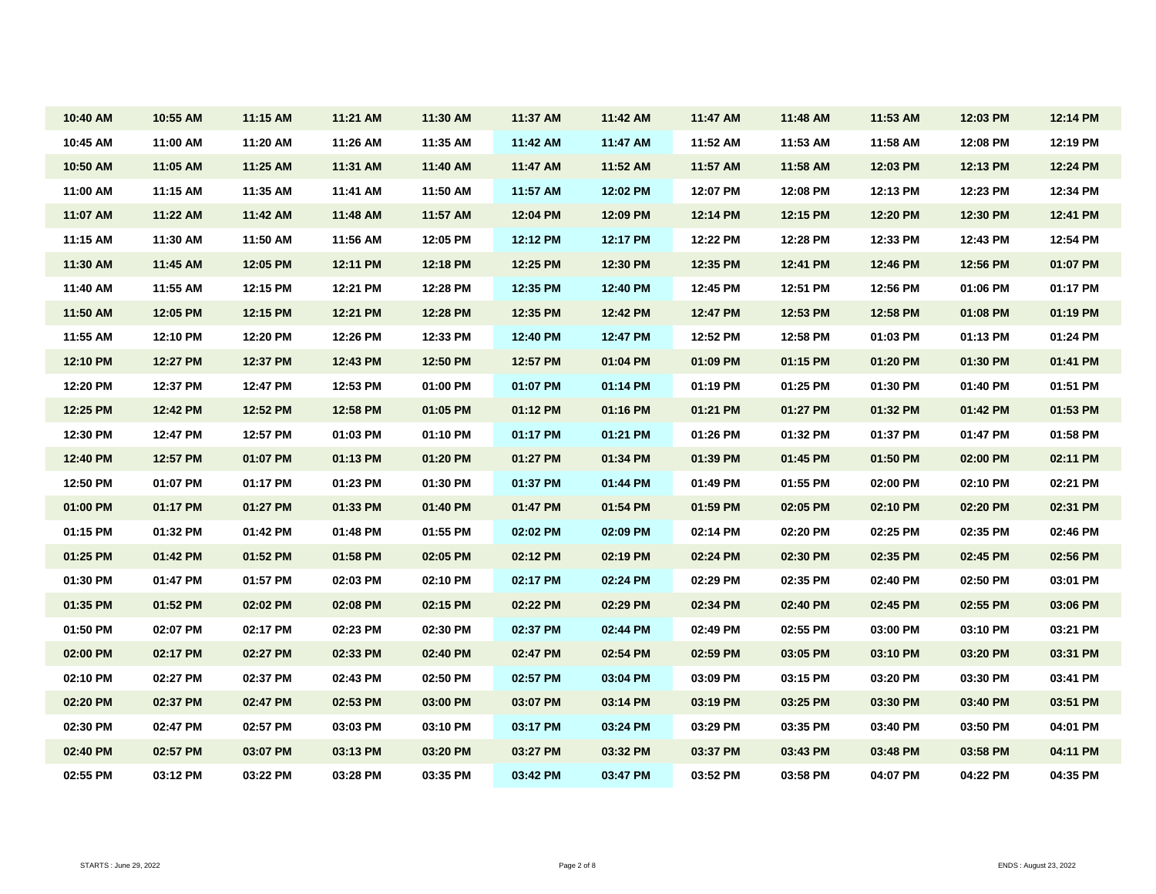| 10:40 AM | 10:55 AM | 11:15 AM | 11:21 AM | 11:30 AM | 11:37 AM | 11:42 AM | 11:47 AM | 11:48 AM | 11:53 AM | 12:03 PM | 12:14 PM |
|----------|----------|----------|----------|----------|----------|----------|----------|----------|----------|----------|----------|
| 10:45 AM | 11:00 AM | 11:20 AM | 11:26 AM | 11:35 AM | 11:42 AM | 11:47 AM | 11:52 AM | 11:53 AM | 11:58 AM | 12:08 PM | 12:19 PM |
| 10:50 AM | 11:05 AM | 11:25 AM | 11:31 AM | 11:40 AM | 11:47 AM | 11:52 AM | 11:57 AM | 11:58 AM | 12:03 PM | 12:13 PM | 12:24 PM |
| 11:00 AM | 11:15 AM | 11:35 AM | 11:41 AM | 11:50 AM | 11:57 AM | 12:02 PM | 12:07 PM | 12:08 PM | 12:13 PM | 12:23 PM | 12:34 PM |
| 11:07 AM | 11:22 AM | 11:42 AM | 11:48 AM | 11:57 AM | 12:04 PM | 12:09 PM | 12:14 PM | 12:15 PM | 12:20 PM | 12:30 PM | 12:41 PM |
| 11:15 AM | 11:30 AM | 11:50 AM | 11:56 AM | 12:05 PM | 12:12 PM | 12:17 PM | 12:22 PM | 12:28 PM | 12:33 PM | 12:43 PM | 12:54 PM |
| 11:30 AM | 11:45 AM | 12:05 PM | 12:11 PM | 12:18 PM | 12:25 PM | 12:30 PM | 12:35 PM | 12:41 PM | 12:46 PM | 12:56 PM | 01:07 PM |
| 11:40 AM | 11:55 AM | 12:15 PM | 12:21 PM | 12:28 PM | 12:35 PM | 12:40 PM | 12:45 PM | 12:51 PM | 12:56 PM | 01:06 PM | 01:17 PM |
| 11:50 AM | 12:05 PM | 12:15 PM | 12:21 PM | 12:28 PM | 12:35 PM | 12:42 PM | 12:47 PM | 12:53 PM | 12:58 PM | 01:08 PM | 01:19 PM |
| 11:55 AM | 12:10 PM | 12:20 PM | 12:26 PM | 12:33 PM | 12:40 PM | 12:47 PM | 12:52 PM | 12:58 PM | 01:03 PM | 01:13 PM | 01:24 PM |
| 12:10 PM | 12:27 PM | 12:37 PM | 12:43 PM | 12:50 PM | 12:57 PM | 01:04 PM | 01:09 PM | 01:15 PM | 01:20 PM | 01:30 PM | 01:41 PM |
| 12:20 PM | 12:37 PM | 12:47 PM | 12:53 PM | 01:00 PM | 01:07 PM | 01:14 PM | 01:19 PM | 01:25 PM | 01:30 PM | 01:40 PM | 01:51 PM |
| 12:25 PM | 12:42 PM | 12:52 PM | 12:58 PM | 01:05 PM | 01:12 PM | 01:16 PM | 01:21 PM | 01:27 PM | 01:32 PM | 01:42 PM | 01:53 PM |
| 12:30 PM | 12:47 PM | 12:57 PM | 01:03 PM | 01:10 PM | 01:17 PM | 01:21 PM | 01:26 PM | 01:32 PM | 01:37 PM | 01:47 PM | 01:58 PM |
| 12:40 PM | 12:57 PM | 01:07 PM | 01:13 PM | 01:20 PM | 01:27 PM | 01:34 PM | 01:39 PM | 01:45 PM | 01:50 PM | 02:00 PM | 02:11 PM |
| 12:50 PM | 01:07 PM | 01:17 PM | 01:23 PM | 01:30 PM | 01:37 PM | 01:44 PM | 01:49 PM | 01:55 PM | 02:00 PM | 02:10 PM | 02:21 PM |
| 01:00 PM | 01:17 PM | 01:27 PM | 01:33 PM | 01:40 PM | 01:47 PM | 01:54 PM | 01:59 PM | 02:05 PM | 02:10 PM | 02:20 PM | 02:31 PM |
| 01:15 PM | 01:32 PM | 01:42 PM | 01:48 PM | 01:55 PM | 02:02 PM | 02:09 PM | 02:14 PM | 02:20 PM | 02:25 PM | 02:35 PM | 02:46 PM |
| 01:25 PM | 01:42 PM | 01:52 PM | 01:58 PM | 02:05 PM | 02:12 PM | 02:19 PM | 02:24 PM | 02:30 PM | 02:35 PM | 02:45 PM | 02:56 PM |
| 01:30 PM | 01:47 PM | 01:57 PM | 02:03 PM | 02:10 PM | 02:17 PM | 02:24 PM | 02:29 PM | 02:35 PM | 02:40 PM | 02:50 PM | 03:01 PM |
| 01:35 PM | 01:52 PM | 02:02 PM | 02:08 PM | 02:15 PM | 02:22 PM | 02:29 PM | 02:34 PM | 02:40 PM | 02:45 PM | 02:55 PM | 03:06 PM |
| 01:50 PM | 02:07 PM | 02:17 PM | 02:23 PM | 02:30 PM | 02:37 PM | 02:44 PM | 02:49 PM | 02:55 PM | 03:00 PM | 03:10 PM | 03:21 PM |
| 02:00 PM | 02:17 PM | 02:27 PM | 02:33 PM | 02:40 PM | 02:47 PM | 02:54 PM | 02:59 PM | 03:05 PM | 03:10 PM | 03:20 PM | 03:31 PM |
| 02:10 PM | 02:27 PM | 02:37 PM | 02:43 PM | 02:50 PM | 02:57 PM | 03:04 PM | 03:09 PM | 03:15 PM | 03:20 PM | 03:30 PM | 03:41 PM |
| 02:20 PM | 02:37 PM | 02:47 PM | 02:53 PM | 03:00 PM | 03:07 PM | 03:14 PM | 03:19 PM | 03:25 PM | 03:30 PM | 03:40 PM | 03:51 PM |
| 02:30 PM | 02:47 PM | 02:57 PM | 03:03 PM | 03:10 PM | 03:17 PM | 03:24 PM | 03:29 PM | 03:35 PM | 03:40 PM | 03:50 PM | 04:01 PM |
| 02:40 PM | 02:57 PM | 03:07 PM | 03:13 PM | 03:20 PM | 03:27 PM | 03:32 PM | 03:37 PM | 03:43 PM | 03:48 PM | 03:58 PM | 04:11 PM |
| 02:55 PM | 03:12 PM | 03:22 PM | 03:28 PM | 03:35 PM | 03:42 PM | 03:47 PM | 03:52 PM | 03:58 PM | 04:07 PM | 04:22 PM | 04:35 PM |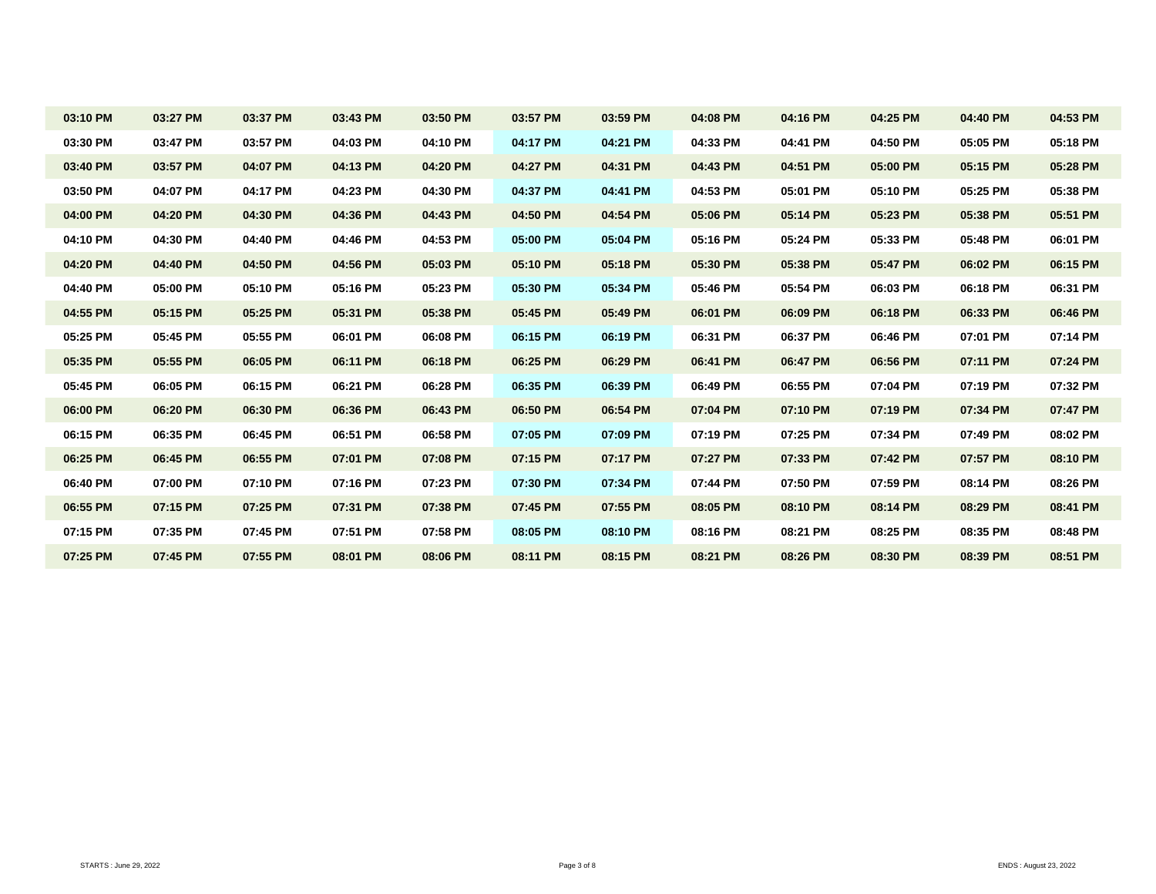| 03:10 PM | 03:27 PM | 03:37 PM | 03:43 PM | 03:50 PM | 03:57 PM | 03:59 PM | 04:08 PM | 04:16 PM | 04:25 PM | 04:40 PM | 04:53 PM |
|----------|----------|----------|----------|----------|----------|----------|----------|----------|----------|----------|----------|
| 03:30 PM | 03:47 PM | 03:57 PM | 04:03 PM | 04:10 PM | 04:17 PM | 04:21 PM | 04:33 PM | 04:41 PM | 04:50 PM | 05:05 PM | 05:18 PM |
| 03:40 PM | 03:57 PM | 04:07 PM | 04:13 PM | 04:20 PM | 04:27 PM | 04:31 PM | 04:43 PM | 04:51 PM | 05:00 PM | 05:15 PM | 05:28 PM |
| 03:50 PM | 04:07 PM | 04:17 PM | 04:23 PM | 04:30 PM | 04:37 PM | 04:41 PM | 04:53 PM | 05:01 PM | 05:10 PM | 05:25 PM | 05:38 PM |
| 04:00 PM | 04:20 PM | 04:30 PM | 04:36 PM | 04:43 PM | 04:50 PM | 04:54 PM | 05:06 PM | 05:14 PM | 05:23 PM | 05:38 PM | 05:51 PM |
| 04:10 PM | 04:30 PM | 04:40 PM | 04:46 PM | 04:53 PM | 05:00 PM | 05:04 PM | 05:16 PM | 05:24 PM | 05:33 PM | 05:48 PM | 06:01 PM |
| 04:20 PM | 04:40 PM | 04:50 PM | 04:56 PM | 05:03 PM | 05:10 PM | 05:18 PM | 05:30 PM | 05:38 PM | 05:47 PM | 06:02 PM | 06:15 PM |
| 04:40 PM | 05:00 PM | 05:10 PM | 05:16 PM | 05:23 PM | 05:30 PM | 05:34 PM | 05:46 PM | 05:54 PM | 06:03 PM | 06:18 PM | 06:31 PM |
| 04:55 PM | 05:15 PM | 05:25 PM | 05:31 PM | 05:38 PM | 05:45 PM | 05:49 PM | 06:01 PM | 06:09 PM | 06:18 PM | 06:33 PM | 06:46 PM |
| 05:25 PM | 05:45 PM | 05:55 PM | 06:01 PM | 06:08 PM | 06:15 PM | 06:19 PM | 06:31 PM | 06:37 PM | 06:46 PM | 07:01 PM | 07:14 PM |
| 05:35 PM | 05:55 PM | 06:05 PM | 06:11 PM | 06:18 PM | 06:25 PM | 06:29 PM | 06:41 PM | 06:47 PM | 06:56 PM | 07:11 PM | 07:24 PM |
| 05:45 PM | 06:05 PM | 06:15 PM | 06:21 PM | 06:28 PM | 06:35 PM | 06:39 PM | 06:49 PM | 06:55 PM | 07:04 PM | 07:19 PM | 07:32 PM |
| 06:00 PM | 06:20 PM | 06:30 PM | 06:36 PM | 06:43 PM | 06:50 PM | 06:54 PM | 07:04 PM | 07:10 PM | 07:19 PM | 07:34 PM | 07:47 PM |
| 06:15 PM | 06:35 PM | 06:45 PM | 06:51 PM | 06:58 PM | 07:05 PM | 07:09 PM | 07:19 PM | 07:25 PM | 07:34 PM | 07:49 PM | 08:02 PM |
| 06:25 PM | 06:45 PM | 06:55 PM | 07:01 PM | 07:08 PM | 07:15 PM | 07:17 PM | 07:27 PM | 07:33 PM | 07:42 PM | 07:57 PM | 08:10 PM |
| 06:40 PM | 07:00 PM | 07:10 PM | 07:16 PM | 07:23 PM | 07:30 PM | 07:34 PM | 07:44 PM | 07:50 PM | 07:59 PM | 08:14 PM | 08:26 PM |
| 06:55 PM | 07:15 PM | 07:25 PM | 07:31 PM | 07:38 PM | 07:45 PM | 07:55 PM | 08:05 PM | 08:10 PM | 08:14 PM | 08:29 PM | 08:41 PM |
| 07:15 PM | 07:35 PM | 07:45 PM | 07:51 PM | 07:58 PM | 08:05 PM | 08:10 PM | 08:16 PM | 08:21 PM | 08:25 PM | 08:35 PM | 08:48 PM |
| 07:25 PM | 07:45 PM | 07:55 PM | 08:01 PM | 08:06 PM | 08:11 PM | 08:15 PM | 08:21 PM | 08:26 PM | 08:30 PM | 08:39 PM | 08:51 PM |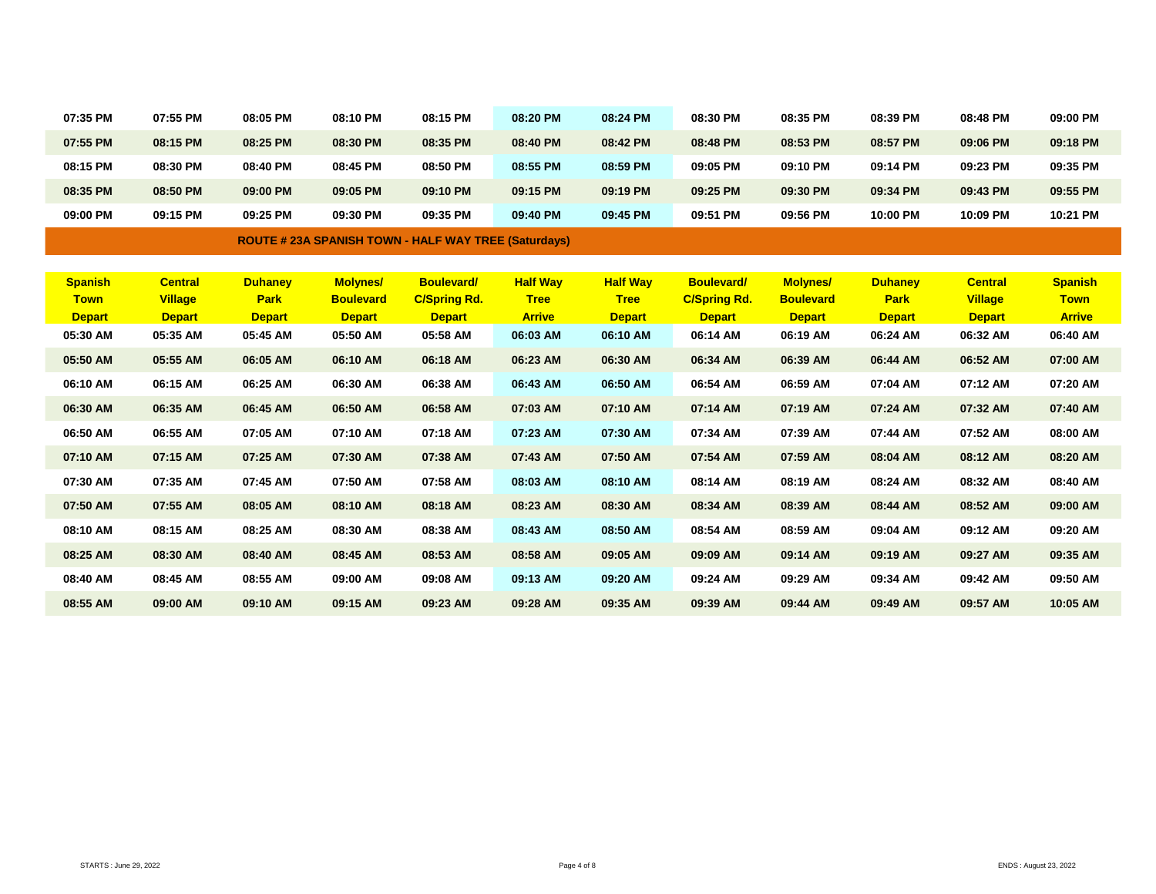| 07:35 PM | 07:55 PM | 08:05 PM | 08:10 PM | 08:15 PM | 08:20 PM | 08:24 PM | 08:30 PM | 08:35 PM | 08:39 PM | 08:48 PM | 09:00 PM |
|----------|----------|----------|----------|----------|----------|----------|----------|----------|----------|----------|----------|
| 07:55 PM | 08:15 PM | 08:25 PM | 08:30 PM | 08:35 PM | 08:40 PM | 08:42 PM | 08:48 PM | 08:53 PM | 08:57 PM | 09:06 PM | 09:18 PM |
| 08:15 PM | 08:30 PM | 08:40 PM | 08:45 PM | 08:50 PM | 08:55 PM | 08:59 PM | 09:05 PM | 09:10 PM | 09:14 PM | 09:23 PM | 09:35 PM |
| 08:35 PM | 08:50 PM | 09:00 PM | 09:05 PM | 09:10 PM | 09:15 PM | 09:19 PM | 09:25 PM | 09:30 PM | 09:34 PM | 09:43 PM | 09:55 PM |
| 09:00 PM | 09:15 PM | 09:25 PM | 09:30 PM | 09:35 PM | 09:40 PM | 09:45 PM | 09:51 PM | 09:56 PM | 10:00 PM | 10:09 PM | 10:21 PM |

**ROUTE # 23A SPANISH TOWN - HALF WAY TREE (Saturdays)**

| <b>Spanish</b><br><b>Town</b><br><b>Depart</b> | <b>Central</b><br><b>Village</b><br><b>Depart</b> | <b>Duhaney</b><br><b>Park</b><br><b>Depart</b> | <b>Molynes/</b><br><b>Boulevard</b><br><b>Depart</b> | <b>Boulevard/</b><br><b>C/Spring Rd.</b><br><b>Depart</b> | <b>Half Way</b><br><b>Tree</b><br><b>Arrive</b> | <b>Half Way</b><br><b>Tree</b><br><b>Depart</b> | <b>Boulevard/</b><br><b>C/Spring Rd.</b><br><b>Depart</b> | <b>Molynes/</b><br><b>Boulevard</b><br><b>Depart</b> | <b>Duhaney</b><br><b>Park</b><br><b>Depart</b> | <b>Central</b><br><b>Village</b><br><b>Depart</b> | <b>Spanish</b><br><b>Town</b><br><b>Arrive</b> |
|------------------------------------------------|---------------------------------------------------|------------------------------------------------|------------------------------------------------------|-----------------------------------------------------------|-------------------------------------------------|-------------------------------------------------|-----------------------------------------------------------|------------------------------------------------------|------------------------------------------------|---------------------------------------------------|------------------------------------------------|
| 05:30 AM                                       | 05:35 AM                                          | 05:45 AM                                       | 05:50 AM                                             | 05:58 AM                                                  | 06:03 AM                                        | 06:10 AM                                        | 06:14 AM                                                  | 06:19 AM                                             | 06:24 AM                                       | 06:32 AM                                          | 06:40 AM                                       |
| 05:50 AM                                       | 05:55 AM                                          | 06:05 AM                                       | 06:10 AM                                             | 06:18 AM                                                  | 06:23 AM                                        | 06:30 AM                                        | 06:34 AM                                                  | 06:39 AM                                             | 06:44 AM                                       | 06:52 AM                                          | 07:00 AM                                       |
| 06:10 AM                                       | 06:15 AM                                          | 06:25 AM                                       | 06:30 AM                                             | 06:38 AM                                                  | 06:43 AM                                        | 06:50 AM                                        | 06:54 AM                                                  | 06:59 AM                                             | 07:04 AM                                       | 07:12 AM                                          | 07:20 AM                                       |
| 06:30 AM                                       | 06:35 AM                                          | 06:45 AM                                       | 06:50 AM                                             | 06:58 AM                                                  | 07:03 AM                                        | 07:10 AM                                        | 07:14 AM                                                  | 07:19 AM                                             | 07:24 AM                                       | 07:32 AM                                          | 07:40 AM                                       |
| 06:50 AM                                       | 06:55 AM                                          | 07:05 AM                                       | 07:10 AM                                             | 07:18 AM                                                  | 07:23 AM                                        | 07:30 AM                                        | 07:34 AM                                                  | 07:39 AM                                             | 07:44 AM                                       | 07:52 AM                                          | 08:00 AM                                       |
| 07:10 AM                                       | 07:15 AM                                          | 07:25 AM                                       | 07:30 AM                                             | 07:38 AM                                                  | 07:43 AM                                        | 07:50 AM                                        | 07:54 AM                                                  | 07:59 AM                                             | 08:04 AM                                       | 08:12 AM                                          | 08:20 AM                                       |
| 07:30 AM                                       | 07:35 AM                                          | 07:45 AM                                       | 07:50 AM                                             | 07:58 AM                                                  | 08:03 AM                                        | 08:10 AM                                        | 08:14 AM                                                  | 08:19 AM                                             | 08:24 AM                                       | 08:32 AM                                          | 08:40 AM                                       |
| 07:50 AM                                       | 07:55 AM                                          | 08:05 AM                                       | 08:10 AM                                             | 08:18 AM                                                  | 08:23 AM                                        | 08:30 AM                                        | 08:34 AM                                                  | 08:39 AM                                             | 08:44 AM                                       | 08:52 AM                                          | 09:00 AM                                       |
| 08:10 AM                                       | 08:15 AM                                          | 08:25 AM                                       | 08:30 AM                                             | 08:38 AM                                                  | 08:43 AM                                        | 08:50 AM                                        | 08:54 AM                                                  | 08:59 AM                                             | 09:04 AM                                       | 09:12 AM                                          | 09:20 AM                                       |
| 08:25 AM                                       | 08:30 AM                                          | 08:40 AM                                       | 08:45 AM                                             | 08:53 AM                                                  | 08:58 AM                                        | 09:05 AM                                        | 09:09 AM                                                  | 09:14 AM                                             | 09:19 AM                                       | 09:27 AM                                          | 09:35 AM                                       |
| 08:40 AM                                       | 08:45 AM                                          | 08:55 AM                                       | 09:00 AM                                             | 09:08 AM                                                  | 09:13 AM                                        | 09:20 AM                                        | 09:24 AM                                                  | 09:29 AM                                             | 09:34 AM                                       | 09:42 AM                                          | 09:50 AM                                       |
| 08:55 AM                                       | 09:00 AM                                          | 09:10 AM                                       | 09:15 AM                                             | 09:23 AM                                                  | 09:28 AM                                        | 09:35 AM                                        | 09:39 AM                                                  | 09:44 AM                                             | 09:49 AM                                       | 09:57 AM                                          | 10:05 AM                                       |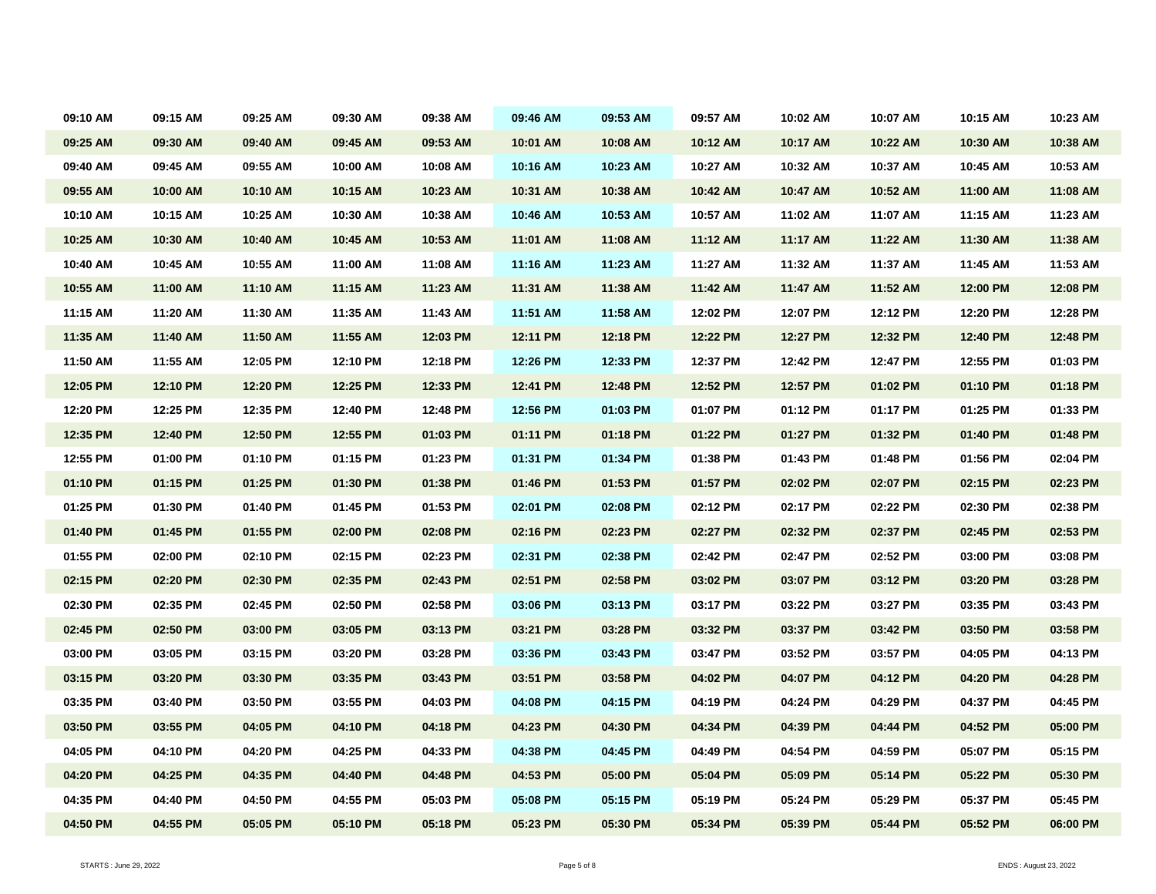| 09:10 AM | 09:15 AM | 09:25 AM | 09:30 AM | 09:38 AM | 09:46 AM | 09:53 AM | 09:57 AM | 10:02 AM | 10:07 AM | 10:15 AM | 10:23 AM |
|----------|----------|----------|----------|----------|----------|----------|----------|----------|----------|----------|----------|
| 09:25 AM | 09:30 AM | 09:40 AM | 09:45 AM | 09:53 AM | 10:01 AM | 10:08 AM | 10:12 AM | 10:17 AM | 10:22 AM | 10:30 AM | 10:38 AM |
| 09:40 AM | 09:45 AM | 09:55 AM | 10:00 AM | 10:08 AM | 10:16 AM | 10:23 AM | 10:27 AM | 10:32 AM | 10:37 AM | 10:45 AM | 10:53 AM |
| 09:55 AM | 10:00 AM | 10:10 AM | 10:15 AM | 10:23 AM | 10:31 AM | 10:38 AM | 10:42 AM | 10:47 AM | 10:52 AM | 11:00 AM | 11:08 AM |
| 10:10 AM | 10:15 AM | 10:25 AM | 10:30 AM | 10:38 AM | 10:46 AM | 10:53 AM | 10:57 AM | 11:02 AM | 11:07 AM | 11:15 AM | 11:23 AM |
| 10:25 AM | 10:30 AM | 10:40 AM | 10:45 AM | 10:53 AM | 11:01 AM | 11:08 AM | 11:12 AM | 11:17 AM | 11:22 AM | 11:30 AM | 11:38 AM |
| 10:40 AM | 10:45 AM | 10:55 AM | 11:00 AM | 11:08 AM | 11:16 AM | 11:23 AM | 11:27 AM | 11:32 AM | 11:37 AM | 11:45 AM | 11:53 AM |
| 10:55 AM | 11:00 AM | 11:10 AM | 11:15 AM | 11:23 AM | 11:31 AM | 11:38 AM | 11:42 AM | 11:47 AM | 11:52 AM | 12:00 PM | 12:08 PM |
| 11:15 AM | 11:20 AM | 11:30 AM | 11:35 AM | 11:43 AM | 11:51 AM | 11:58 AM | 12:02 PM | 12:07 PM | 12:12 PM | 12:20 PM | 12:28 PM |
| 11:35 AM | 11:40 AM | 11:50 AM | 11:55 AM | 12:03 PM | 12:11 PM | 12:18 PM | 12:22 PM | 12:27 PM | 12:32 PM | 12:40 PM | 12:48 PM |
| 11:50 AM | 11:55 AM | 12:05 PM | 12:10 PM | 12:18 PM | 12:26 PM | 12:33 PM | 12:37 PM | 12:42 PM | 12:47 PM | 12:55 PM | 01:03 PM |
| 12:05 PM | 12:10 PM | 12:20 PM | 12:25 PM | 12:33 PM | 12:41 PM | 12:48 PM | 12:52 PM | 12:57 PM | 01:02 PM | 01:10 PM | 01:18 PM |
| 12:20 PM | 12:25 PM | 12:35 PM | 12:40 PM | 12:48 PM | 12:56 PM | 01:03 PM | 01:07 PM | 01:12 PM | 01:17 PM | 01:25 PM | 01:33 PM |
| 12:35 PM | 12:40 PM | 12:50 PM | 12:55 PM | 01:03 PM | 01:11 PM | 01:18 PM | 01:22 PM | 01:27 PM | 01:32 PM | 01:40 PM | 01:48 PM |
| 12:55 PM | 01:00 PM | 01:10 PM | 01:15 PM | 01:23 PM | 01:31 PM | 01:34 PM | 01:38 PM | 01:43 PM | 01:48 PM | 01:56 PM | 02:04 PM |
| 01:10 PM | 01:15 PM | 01:25 PM | 01:30 PM | 01:38 PM | 01:46 PM | 01:53 PM | 01:57 PM | 02:02 PM | 02:07 PM | 02:15 PM | 02:23 PM |
| 01:25 PM | 01:30 PM | 01:40 PM | 01:45 PM | 01:53 PM | 02:01 PM | 02:08 PM | 02:12 PM | 02:17 PM | 02:22 PM | 02:30 PM | 02:38 PM |
| 01:40 PM | 01:45 PM | 01:55 PM | 02:00 PM | 02:08 PM | 02:16 PM | 02:23 PM | 02:27 PM | 02:32 PM | 02:37 PM | 02:45 PM | 02:53 PM |
| 01:55 PM | 02:00 PM | 02:10 PM | 02:15 PM | 02:23 PM | 02:31 PM | 02:38 PM | 02:42 PM | 02:47 PM | 02:52 PM | 03:00 PM | 03:08 PM |
| 02:15 PM | 02:20 PM | 02:30 PM | 02:35 PM | 02:43 PM | 02:51 PM | 02:58 PM | 03:02 PM | 03:07 PM | 03:12 PM | 03:20 PM | 03:28 PM |
| 02:30 PM | 02:35 PM | 02:45 PM | 02:50 PM | 02:58 PM | 03:06 PM | 03:13 PM | 03:17 PM | 03:22 PM | 03:27 PM | 03:35 PM | 03:43 PM |
| 02:45 PM | 02:50 PM | 03:00 PM | 03:05 PM | 03:13 PM | 03:21 PM | 03:28 PM | 03:32 PM | 03:37 PM | 03:42 PM | 03:50 PM | 03:58 PM |
| 03:00 PM | 03:05 PM | 03:15 PM | 03:20 PM | 03:28 PM | 03:36 PM | 03:43 PM | 03:47 PM | 03:52 PM | 03:57 PM | 04:05 PM | 04:13 PM |
| 03:15 PM | 03:20 PM | 03:30 PM | 03:35 PM | 03:43 PM | 03:51 PM | 03:58 PM | 04:02 PM | 04:07 PM | 04:12 PM | 04:20 PM | 04:28 PM |
| 03:35 PM | 03:40 PM | 03:50 PM | 03:55 PM | 04:03 PM | 04:08 PM | 04:15 PM | 04:19 PM | 04:24 PM | 04:29 PM | 04:37 PM | 04:45 PM |
| 03:50 PM | 03:55 PM | 04:05 PM | 04:10 PM | 04:18 PM | 04:23 PM | 04:30 PM | 04:34 PM | 04:39 PM | 04:44 PM | 04:52 PM | 05:00 PM |
| 04:05 PM | 04:10 PM | 04:20 PM | 04:25 PM | 04:33 PM | 04:38 PM | 04:45 PM | 04:49 PM | 04:54 PM | 04:59 PM | 05:07 PM | 05:15 PM |
| 04:20 PM | 04:25 PM | 04:35 PM | 04:40 PM | 04:48 PM | 04:53 PM | 05:00 PM | 05:04 PM | 05:09 PM | 05:14 PM | 05:22 PM | 05:30 PM |
| 04:35 PM | 04:40 PM | 04:50 PM | 04:55 PM | 05:03 PM | 05:08 PM | 05:15 PM | 05:19 PM | 05:24 PM | 05:29 PM | 05:37 PM | 05:45 PM |
| 04:50 PM | 04:55 PM | 05:05 PM | 05:10 PM | 05:18 PM | 05:23 PM | 05:30 PM | 05:34 PM | 05:39 PM | 05:44 PM | 05:52 PM | 06:00 PM |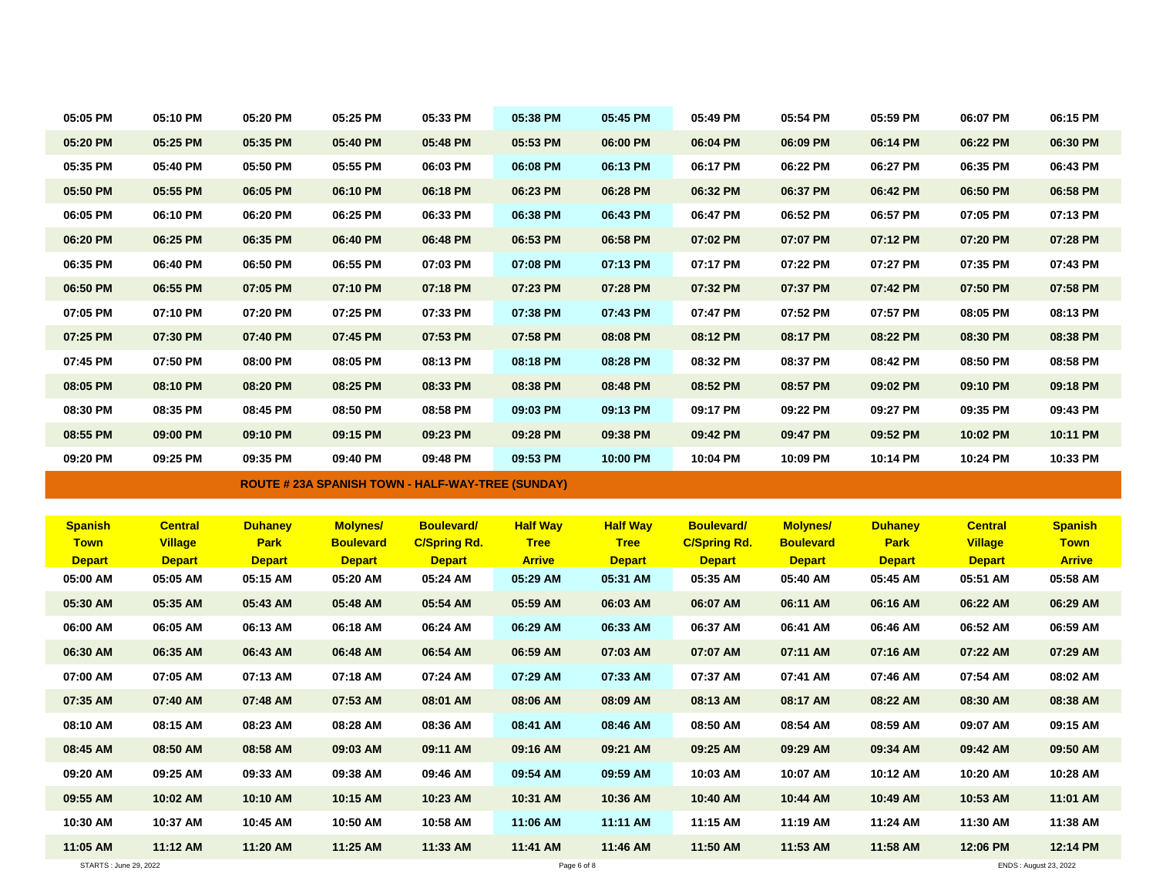| 05:05 PM                  | 05:10 PM                  | 05:20 PM                  | 05:25 PM                  | 05:33 PM                                                 | 05:38 PM                  | 05:45 PM                  | 05:49 PM                  | 05:54 PM                  | 05:59 PM                  | 06:07 PM                  | 06:15 PM                  |
|---------------------------|---------------------------|---------------------------|---------------------------|----------------------------------------------------------|---------------------------|---------------------------|---------------------------|---------------------------|---------------------------|---------------------------|---------------------------|
| 05:20 PM                  | 05:25 PM                  | 05:35 PM                  | 05:40 PM                  | 05:48 PM                                                 | 05:53 PM                  | 06:00 PM                  | 06:04 PM                  | 06:09 PM                  | 06:14 PM                  | 06:22 PM                  | 06:30 PM                  |
| 05:35 PM                  | 05:40 PM                  | 05:50 PM                  | 05:55 PM                  | 06:03 PM                                                 | 06:08 PM                  | 06:13 PM                  | 06:17 PM                  | 06:22 PM                  | 06:27 PM                  | 06:35 PM                  | 06:43 PM                  |
| 05:50 PM                  | 05:55 PM                  | 06:05 PM                  | 06:10 PM                  | 06:18 PM                                                 | 06:23 PM                  | 06:28 PM                  | 06:32 PM                  | 06:37 PM                  | 06:42 PM                  | 06:50 PM                  | 06:58 PM                  |
|                           |                           |                           |                           |                                                          |                           |                           |                           |                           |                           |                           |                           |
| 06:05 PM                  | 06:10 PM                  | 06:20 PM                  | 06:25 PM                  | 06:33 PM                                                 | 06:38 PM                  | 06:43 PM                  | 06:47 PM                  | 06:52 PM                  | 06:57 PM                  | 07:05 PM                  | 07:13 PM                  |
| 06:20 PM                  | 06:25 PM                  | 06:35 PM                  | 06:40 PM                  | 06:48 PM                                                 | 06:53 PM                  | 06:58 PM                  | 07:02 PM                  | 07:07 PM                  | 07:12 PM                  | 07:20 PM                  | 07:28 PM                  |
| 06:35 PM                  | 06:40 PM                  | 06:50 PM                  | 06:55 PM                  | 07:03 PM                                                 | 07:08 PM                  | 07:13 PM                  | 07:17 PM                  | 07:22 PM                  | 07:27 PM                  | 07:35 PM                  | 07:43 PM                  |
| 06:50 PM                  | 06:55 PM                  | 07:05 PM                  | 07:10 PM                  | 07:18 PM                                                 | 07:23 PM                  | 07:28 PM                  | 07:32 PM                  | 07:37 PM                  | 07:42 PM                  | 07:50 PM                  | 07:58 PM                  |
| 07:05 PM                  | 07:10 PM                  | 07:20 PM                  | 07:25 PM                  | 07:33 PM                                                 | 07:38 PM                  | 07:43 PM                  | 07:47 PM                  | 07:52 PM                  | 07:57 PM                  | 08:05 PM                  | 08:13 PM                  |
| 07:25 PM                  | 07:30 PM                  | 07:40 PM                  | 07:45 PM                  | 07:53 PM                                                 | 07:58 PM                  | 08:08 PM                  | 08:12 PM                  | 08:17 PM                  | 08:22 PM                  | 08:30 PM                  | 08:38 PM                  |
| 07:45 PM                  | 07:50 PM                  | 08:00 PM                  | 08:05 PM                  | 08:13 PM                                                 | 08:18 PM                  | 08:28 PM                  | 08:32 PM                  | 08:37 PM                  | 08:42 PM                  | 08:50 PM                  | 08:58 PM                  |
| 08:05 PM                  | 08:10 PM                  | 08:20 PM                  | 08:25 PM                  | 08:33 PM                                                 | 08:38 PM                  | 08:48 PM                  | 08:52 PM                  | 08:57 PM                  | 09:02 PM                  | 09:10 PM                  | 09:18 PM                  |
| 08:30 PM                  | 08:35 PM                  | 08:45 PM                  | 08:50 PM                  | 08:58 PM                                                 | 09:03 PM                  | 09:13 PM                  | 09:17 PM                  | 09:22 PM                  | 09:27 PM                  | 09:35 PM                  | 09:43 PM                  |
| 08:55 PM                  | 09:00 PM                  | 09:10 PM                  | 09:15 PM                  | 09:23 PM                                                 | 09:28 PM                  | 09:38 PM                  | 09:42 PM                  | 09:47 PM                  | 09:52 PM                  | 10:02 PM                  | 10:11 PM                  |
| 09:20 PM                  | 09:25 PM                  | 09:35 PM                  | 09:40 PM                  | 09:48 PM                                                 | 09:53 PM                  | 10:00 PM                  | 10:04 PM                  | 10:09 PM                  | 10:14 PM                  | 10:24 PM                  | 10:33 PM                  |
|                           |                           |                           |                           |                                                          |                           |                           |                           |                           |                           |                           |                           |
|                           |                           |                           |                           | <b>ROUTE # 23A SPANISH TOWN - HALF-WAY-TREE (SUNDAY)</b> |                           |                           |                           |                           |                           |                           |                           |
|                           |                           |                           |                           |                                                          |                           |                           |                           |                           |                           |                           |                           |
| <b>Spanish</b>            | <b>Central</b>            | <b>Duhaney</b>            | <b>Molynes/</b>           | <b>Boulevard/</b>                                        | <b>Half Way</b>           | <b>Half Way</b>           | <b>Boulevard/</b>         | <b>Molynes/</b>           | <b>Duhaney</b>            | <b>Central</b>            | <b>Spanish</b>            |
| <b>Town</b>               | <b>Village</b>            | <b>Park</b>               | <b>Boulevard</b>          | <b>C/Spring Rd.</b>                                      | <b>Tree</b>               | <b>Tree</b>               | <b>C/Spring Rd.</b>       | <b>Boulevard</b>          | <b>Park</b>               | <b>Village</b>            | <b>Town</b>               |
| <b>Depart</b><br>05:00 AM | <b>Depart</b><br>05:05 AM | <b>Depart</b><br>05:15 AM | <b>Depart</b><br>05:20 AM | <b>Depart</b><br>05:24 AM                                | <b>Arrive</b><br>05:29 AM | <b>Depart</b><br>05:31 AM | <b>Depart</b><br>05:35 AM | <b>Depart</b><br>05:40 AM | <b>Depart</b><br>05:45 AM | <b>Depart</b><br>05:51 AM | <b>Arrive</b><br>05:58 AM |
| 05:30 AM                  | 05:35 AM                  | 05:43 AM                  | 05:48 AM                  | 05:54 AM                                                 | 05:59 AM                  | 06:03 AM                  | 06:07 AM                  | 06:11 AM                  | 06:16 AM                  | 06:22 AM                  | 06:29 AM                  |
| 06:00 AM                  | 06:05 AM                  | 06:13 AM                  | 06:18 AM                  | 06:24 AM                                                 | 06:29 AM                  | 06:33 AM                  | 06:37 AM                  | 06:41 AM                  | 06:46 AM                  | 06:52 AM                  | 06:59 AM                  |
| 06:30 AM                  | 06:35 AM                  | 06:43 AM                  | 06:48 AM                  | 06:54 AM                                                 | 06:59 AM                  | 07:03 AM                  | 07:07 AM                  | 07:11 AM                  | 07:16 AM                  | 07:22 AM                  | 07:29 AM                  |
| 07:00 AM                  | 07:05 AM                  | 07:13 AM                  | 07:18 AM                  | 07:24 AM                                                 | 07:29 AM                  | 07:33 AM                  | 07:37 AM                  | 07:41 AM                  | 07:46 AM                  | 07:54 AM                  | 08:02 AM                  |
| 07:35 AM                  | 07:40 AM                  | 07:48 AM                  | 07:53 AM                  | 08:01 AM                                                 | 08:06 AM                  |                           | 08:13 AM                  | 08:17 AM                  | 08:22 AM                  | 08:30 AM                  | 08:38 AM                  |
|                           |                           |                           |                           |                                                          |                           | 08:09 AM                  |                           |                           |                           |                           |                           |
| 08:10 AM                  | 08:15 AM                  | 08:23 AM                  | 08:28 AM                  | 08:36 AM                                                 | 08:41 AM                  | 08:46 AM                  | 08:50 AM                  | 08:54 AM                  | 08:59 AM                  | 09:07 AM                  | 09:15 AM                  |
| 08:45 AM                  | 08:50 AM                  | 08:58 AM                  | 09:03 AM                  | 09:11 AM                                                 | 09:16 AM                  | 09:21 AM                  | 09:25 AM                  | 09:29 AM                  | 09:34 AM                  | 09:42 AM                  | 09:50 AM                  |
| 09:20 AM                  | 09:25 AM                  | 09:33 AM                  | 09:38 AM                  | 09:46 AM                                                 | 09:54 AM                  | 09:59 AM                  | 10:03 AM                  | 10:07 AM                  | 10:12 AM                  | 10:20 AM                  | 10:28 AM                  |
| 09:55 AM                  | 10:02 AM                  | 10:10 AM                  | 10:15 AM                  | 10:23 AM                                                 | 10:31 AM                  | 10:36 AM                  | 10:40 AM                  | 10:44 AM                  | 10:49 AM                  | 10:53 AM                  | 11:01 AM                  |
| 10:30 AM<br>11:05 AM      | 10:37 AM<br>11:12 AM      | 10:45 AM<br>11:20 AM      | 10:50 AM<br>11:25 AM      | 10:58 AM<br>11:33 AM                                     | 11:06 AM<br>11:41 AM      | 11:11 AM<br>11:46 AM      | 11:15 AM<br>11:50 AM      | 11:19 AM<br>11:53 AM      | 11:24 AM<br>11:58 AM      | 11:30 AM<br>12:06 PM      | 11:38 AM<br>12:14 PM      |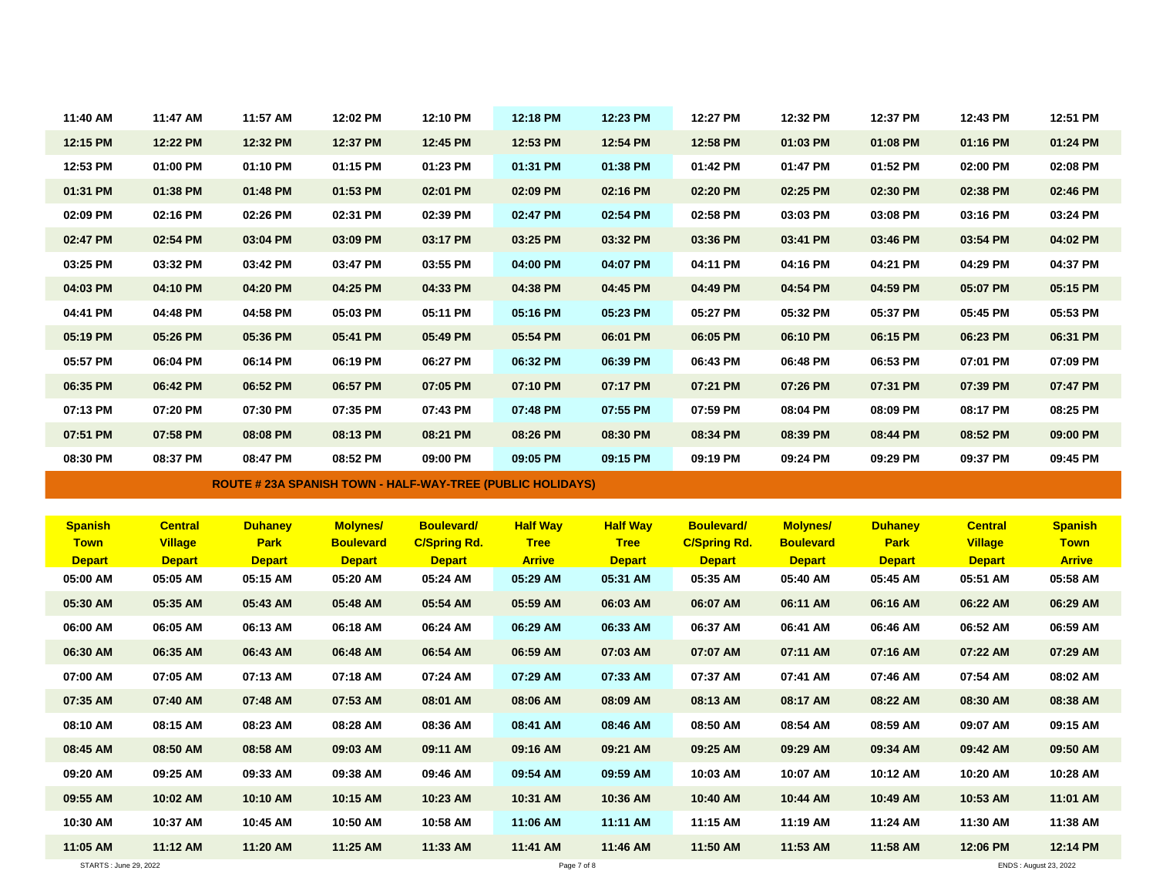| 11:40 AM       | 11:47 AM       | 11:57 AM       | 12:02 PM         | 12:10 PM                                                          | 12:18 PM        | 12:23 PM        | 12:27 PM            | 12:32 PM         | 12:37 PM       | 12:43 PM       | 12:51 PM       |
|----------------|----------------|----------------|------------------|-------------------------------------------------------------------|-----------------|-----------------|---------------------|------------------|----------------|----------------|----------------|
| 12:15 PM       | 12:22 PM       | 12:32 PM       | 12:37 PM         | 12:45 PM                                                          | 12:53 PM        | 12:54 PM        | 12:58 PM            | 01:03 PM         | 01:08 PM       | 01:16 PM       | 01:24 PM       |
| 12:53 PM       | 01:00 PM       | 01:10 PM       | 01:15 PM         | 01:23 PM                                                          | 01:31 PM        | 01:38 PM        | 01:42 PM            | 01:47 PM         | 01:52 PM       | 02:00 PM       | 02:08 PM       |
| 01:31 PM       | 01:38 PM       | 01:48 PM       | 01:53 PM         | 02:01 PM                                                          | 02:09 PM        | 02:16 PM        | 02:20 PM            | 02:25 PM         | 02:30 PM       | 02:38 PM       | 02:46 PM       |
| 02:09 PM       | 02:16 PM       | 02:26 PM       | 02:31 PM         | 02:39 PM                                                          | 02:47 PM        | 02:54 PM        | 02:58 PM            | 03:03 PM         | 03:08 PM       | 03:16 PM       | 03:24 PM       |
| 02:47 PM       | 02:54 PM       | 03:04 PM       | 03:09 PM         | 03:17 PM                                                          | 03:25 PM        | 03:32 PM        | 03:36 PM            | 03:41 PM         | 03:46 PM       | 03:54 PM       | 04:02 PM       |
| 03:25 PM       | 03:32 PM       | 03:42 PM       | 03:47 PM         | 03:55 PM                                                          | 04:00 PM        | 04:07 PM        | 04:11 PM            | 04:16 PM         | 04:21 PM       | 04:29 PM       | 04:37 PM       |
| 04:03 PM       | 04:10 PM       | 04:20 PM       | 04:25 PM         | 04:33 PM                                                          | 04:38 PM        | 04:45 PM        | 04:49 PM            | 04:54 PM         | 04:59 PM       | 05:07 PM       | 05:15 PM       |
| 04:41 PM       | 04:48 PM       | 04:58 PM       | 05:03 PM         | 05:11 PM                                                          | 05:16 PM        | 05:23 PM        | 05:27 PM            | 05:32 PM         | 05:37 PM       | 05:45 PM       | 05:53 PM       |
| 05:19 PM       | 05:26 PM       | 05:36 PM       | 05:41 PM         | 05:49 PM                                                          | 05:54 PM        | 06:01 PM        | 06:05 PM            | 06:10 PM         | 06:15 PM       | 06:23 PM       | 06:31 PM       |
| 05:57 PM       | 06:04 PM       | 06:14 PM       | 06:19 PM         | 06:27 PM                                                          | 06:32 PM        | 06:39 PM        | 06:43 PM            | 06:48 PM         | 06:53 PM       | 07:01 PM       | 07:09 PM       |
| 06:35 PM       | 06:42 PM       | 06:52 PM       | 06:57 PM         | 07:05 PM                                                          | 07:10 PM        | 07:17 PM        | 07:21 PM            | 07:26 PM         | 07:31 PM       | 07:39 PM       | 07:47 PM       |
| 07:13 PM       | 07:20 PM       | 07:30 PM       | 07:35 PM         | 07:43 PM                                                          | 07:48 PM        | 07:55 PM        | 07:59 PM            | 08:04 PM         | 08:09 PM       | 08:17 PM       | 08:25 PM       |
| 07:51 PM       | 07:58 PM       | 08:08 PM       | 08:13 PM         | 08:21 PM                                                          | 08:26 PM        | 08:30 PM        | 08:34 PM            | 08:39 PM         | 08:44 PM       | 08:52 PM       | 09:00 PM       |
| 08:30 PM       | 08:37 PM       | 08:47 PM       | 08:52 PM         | 09:00 PM                                                          | 09:05 PM        | 09:15 PM        | 09:19 PM            | 09:24 PM         | 09:29 PM       | 09:37 PM       | 09:45 PM       |
|                |                |                |                  |                                                                   |                 |                 |                     |                  |                |                |                |
|                |                |                |                  | <b>ROUTE # 23A SPANISH TOWN - HALF-WAY-TREE (PUBLIC HOLIDAYS)</b> |                 |                 |                     |                  |                |                |                |
|                |                |                |                  |                                                                   |                 |                 |                     |                  |                |                |                |
| <b>Spanish</b> | <b>Central</b> | <b>Duhaney</b> | <b>Molynes/</b>  | <b>Boulevard/</b>                                                 | <b>Half Way</b> | <b>Half Way</b> | <b>Boulevard/</b>   | <b>Molynes/</b>  | <b>Duhaney</b> | <b>Central</b> | <b>Spanish</b> |
| <b>Town</b>    | <b>Village</b> | <b>Park</b>    | <b>Boulevard</b> | <b>C/Spring Rd.</b>                                               | <b>Tree</b>     | <b>Tree</b>     | <b>C/Spring Rd.</b> | <b>Boulevard</b> | <b>Park</b>    | <b>Village</b> | <b>Town</b>    |
| <b>Depart</b>  | <b>Depart</b>  | <b>Depart</b>  | <b>Depart</b>    | <b>Depart</b>                                                     | <b>Arrive</b>   | <b>Depart</b>   | <b>Depart</b>       | <b>Depart</b>    | <b>Depart</b>  | <b>Depart</b>  | <b>Arrive</b>  |
| 05:00 AM       | 05:05 AM       | 05:15 AM       | 05:20 AM         | 05:24 AM                                                          | 05:29 AM        | 05:31 AM        | 05:35 AM            | 05:40 AM         | 05:45 AM       | 05:51 AM       | 05:58 AM       |
| 05:30 AM       | 05:35 AM       | 05:43 AM       | 05:48 AM         | 05:54 AM                                                          | 05:59 AM        | 06:03 AM        | 06:07 AM            | 06:11 AM         | 06:16 AM       | 06:22 AM       | 06:29 AM       |
| 06:00 AM       | 06:05 AM       | 06:13 AM       | 06:18 AM         | 06:24 AM                                                          | 06:29 AM        | 06:33 AM        | 06:37 AM            | 06:41 AM         | 06:46 AM       | 06:52 AM       | 06:59 AM       |
| 06:30 AM       | 06:35 AM       | 06:43 AM       | 06:48 AM         | 06:54 AM                                                          | 06:59 AM        | 07:03 AM        | 07:07 AM            | 07:11 AM         | 07:16 AM       | 07:22 AM       | 07:29 AM       |
| 07:00 AM       | 07:05 AM       | 07:13 AM       | 07:18 AM         | 07:24 AM                                                          | 07:29 AM        | 07:33 AM        | 07:37 AM            | 07:41 AM         | 07:46 AM       | 07:54 AM       | 08:02 AM       |
| 07:35 AM       | 07:40 AM       | 07:48 AM       | 07:53 AM         | 08:01 AM                                                          | 08:06 AM        | 08:09 AM        | 08:13 AM            | 08:17 AM         | 08:22 AM       | 08:30 AM       | 08:38 AM       |
| 08:10 AM       | 08:15 AM       | 08:23 AM       | 08:28 AM         | 08:36 AM                                                          | 08:41 AM        | 08:46 AM        | 08:50 AM            | 08:54 AM         | 08:59 AM       | 09:07 AM       | 09:15 AM       |
| 08:45 AM       | 08:50 AM       | 08:58 AM       | 09:03 AM         | 09:11 AM                                                          | 09:16 AM        | 09:21 AM        | 09:25 AM            | 09:29 AM         | 09:34 AM       | 09:42 AM       | 09:50 AM       |
| 09:20 AM       | 09:25 AM       | 09:33 AM       | 09:38 AM         | 09:46 AM                                                          | 09:54 AM        | 09:59 AM        | 10:03 AM            | 10:07 AM         | 10:12 AM       | 10:20 AM       | 10:28 AM       |
| 09:55 AM       | 10:02 AM       | 10:10 AM       | 10:15 AM         | 10:23 AM                                                          | 10:31 AM        | 10:36 AM        | 10:40 AM            | 10:44 AM         | 10:49 AM       | 10:53 AM       | 11:01 AM       |
| 10:30 AM       | 10:37 AM       | 10:45 AM       | 10:50 AM         | 10:58 AM                                                          | 11:06 AM        | 11:11 AM        | 11:15 AM            | 11:19 AM         | 11:24 AM       | 11:30 AM       | 11:38 AM       |